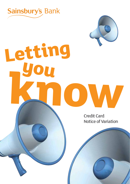

**Letting**

**you**

**know**



Credit Card Notice of Variation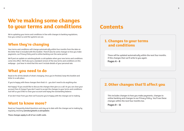### **2**

# **We're making some changes to your terms and conditions**

We're updating your terms and conditions in line with changes to banking regulations. how you contact us and the systems we use.

## **When they're changing**

Your terms and conditions will change automatically within four months from the date on the letter that is included with this booklet. There'll also be some changes to how you make payments, our Privacy Policy and to online banking over the same period.

We'll post an update on sainsburysbank.co.uk/updates when your new terms and conditions come into effect. We'll also put a standard version of the new terms and conditions on this webpage – just bear in mind that this won't include details of your personal rate.

## **What you need to do**

Read on for all the details of what's changing. Once you're finished, keep this booklet and letter in a safe place.

If you're happy with these changes then that's it  $-$  you don't need to do anything else.

Not happy? If you would like to discuss the changes then give us a call. Or you can close your account free of charge if you don't want to accept the changes to your terms and conditions. Just tell us you'd like to close your account and repay the outstanding balance.

If we don't hear from you then we'll assume you're happy with the changes we're making.

## **Want to know more?**

Read our Frequently Asked Questions and stay up to date with the changes we're making by regularly checking **sainsburysbank.co.uk/updates** 

**These changes apply to all of our credit cards.**

# **Contents**

## **1. Changes to your terms and conditions**

These will be updated automatically within the next four months. If this changes then we'll write to you again.

**Pages 4 – 8** 

## **2. Other changes that'll affect you**

This includes changes to how you make payments, changes to online banking and changes to our Privacy Policy. You'll see these changes within the next four months too.

**Pages 9 – 11**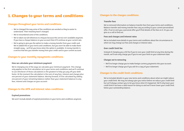## **1. Changes to your terms and conditions**

## **Changes throughout your terms and conditions**

- We've changed the way some of the conditions are worded so they're easier to understand. Their meaning hasn't changed.
- We've renumbered some of the conditions.
- We've taken out all references to cheques because this service isn't available anymore. If you have a cheque balance on your account then it'll continue at your current rate.
- We're going to give you the option to make a money transfer from your credit card. We've added this to your terms and conditions, but you won't be able to make them straight away – we'll let you know when the option is available. A money transfer is a service that lets you transfer money from your credit card to your current account.

## **Changes to your monthly repayments conditions**

#### **How we calculate your minimum payment**

We're changing one of the ways we calculate your minimum payment. This change only applies to the first calculation (a) in your terms and conditions and we'll continue to use whichever of those calculations is the greatest to help you pay off your debt faster. At the moment the calculation is the sum of any fees, interest and charges plus one percent of your statement balance. Moving forward, it'll be calculated by adding one percent of your remaining balance (rather than your statement balance) to any fees, interest and charges on your account.

## **Changes to the APR and interest rates conditions**

#### **Expired promotions**

We won't include details of expired promotions in your terms and conditions anymore.

## **Changes to the charges conditions**

#### **Transfer fees**

We've removed information on balance transfer fees from your terms and conditions. Balance transfer and moneu transfer fees varu according to your current personalised offer. If we've sent you a personal offer you'll find details of the fees on it. Or you can give us a call to find out.

#### **Fees and charges and interest rates**

We've included more details in your terms and conditions about the circumstances in which we may change our fees and charges or interest rates.

### **Over credit limit fee**

Instead of charging you a £12 fee if you're over your credit limit at any time during the month, we'll now only charge you if you're over your limit on your statement date.

### **Charges we're removing**

- We'll no longer charge you to make foreign currency payments into your account.
- We'll no longer charge you if you ask for a copy of your statement.

## **Changes to the credit limit conditions**

We've included details in your new terms and conditions about when we might reduce your credit limit. We may not always give you notice before we reduce your credit limit but we'll always contact you to let you know when it's happened. We'll only lower your credit limit if we have a valid reason for doing so and we'll never lower your credit limit below your outstanding balance.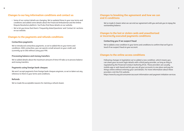**6**

## **Changes to our key information conditions and contact us**

- Some of our contact details are changing. We've updated these in your new terms and conditions and added some details about the Financial Ombudsman and the Online Dispute Resolution platform. You'll also find these details on our website.
- We've let you know that there's 'Frequently Asked Questions' and 'Contact Us' sections on our website.

## **Changes to the payments and refunds conditions**

#### **Contactless payments**

We've introduced contactless payments, so we've added this to your terms and conditions. With contactless, you can spend a small amount on your credit card (currently up to £30) without using your PIN.

### **Processing balance and money transfers**

We've added details about the maximum amount of time it'll take us to process balance and money transfers.

### **Payments using foreign bank cheques**

We won't accept payments from foreign bank cheques anymore, so we've taken out any reference to them in your terms and conditions.

### **Refunds**

We've made the acceptable reasons for claiming a refund clearer.

## **Changes to breaking the agreement and how we can end it conditions**

We've made it clearer when we can end our agreement with you and ask you to repay the outstanding balance.

## **Changes to the lost or stolen cards and unauthorised or incorrectly executed payments conditions**

#### **Contacting you if we suspect fraud**

We've added a new condition in your terms and conditions to confirm that we'll get in touch if we suspect fraud on your account.

## **Changes to the online access conditions**

Following changes in legislation we've added a new condition, which means you can share your account login details with a third party provider, as long as they're regulated by the Financial Conduct Authority (FCA). These providers are usually mobile app or web-based and let you see all your accounts in one place and pay for things online without entering your card details. For more information about these providers visit the FCA website.

https://www.fca.org.uk/consumers/account-information-and-payment-initiation-services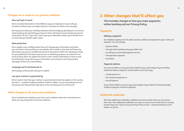## **Changes we've made to our general conditions**

#### **How we'll get in touch**

We've included information on the different ways we might get in touch with you. As well as writing to you, we might call you or send you an email or text message.

We may also provide your monthly statement electronically by uploading it to our secure online banking site and letting you know it's there. We'll get in touch and let you know if we decide to do this. If you don't want to get your statements online, you'll be able to let us know that you'd prefer paper copies.

#### **Data protection**

We've added a new condition about how we'll manage your information and where you can find our Privacy Policy on our website. We've made it clear that we'll keep any information you give us confidential and we'll only share it within the Sainsbury's Group for personalisation of products and services or marketing purposes, as outlined in our Privacy Policy which we update from time to time. Further information on how we and the Sainsbury's Group will use your information can be found in our Privacy Policy (see pages 10 and 11 for more details).

#### **Language we'll communicate in**

We'll always communicate with you in English.

#### **Law your contract is governed by**

We've made it clear that your contract is governed by the law that applies in the country you live in – Scotland, England, Northern Ireland or Wales. If court proceedings are ever necessary, then they will also take place in the country you live in at that time.

## **Other changes to the terms and conditions**

We've included more details in your terms and conditions about the circumstances in which we may change the terms and conditions.

## **2. Other changes that'll affect you**

**This includes changes to how you make payments, online banking and our Privacy Policy.** 

## **Payments**

#### **Making a payment**

Our telephone agents won't be able to process a debit card payment to your credit card anumore. You can still pau:

- by Direct Debit
- through online banking using your debit card
- bu calling our automated payment service
- through faster payment
- bu cheque.

#### **Payment options**

You won't be able to set up your Direct Debit to pay a percentage of your monthly statement balance anymore. You'll be able to set it up to pay:

- a fixed amount; or
- the minimum payment; or
- the full balance.

If your Direct Debit is set up to pay a percentage of your balance it'll automatically change to pay your minimum payment.

## **Additional cardholder**

We'll give additional cardholders a different account number when we next reissue their card. Your additional cardholder can report a card as lost or stolen but for security reasons they can't carry out any servicing of the account – only the primary account holder can do this.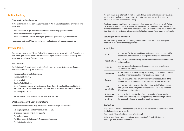## **Online banking**

#### **Changes to online banking**

We're making our online banking service better. When you're logged into online banking you'll now:

- have the option to get electronic statements instead of paper statements
- find it easier to make a payment online
- be able to send us a secure message if you have a query about your credit card.

Not already registered? You can register now at **sainsburysbank.co.uk/register**

## **Privacy Policy**

This is a summaru of our Privacu Policu. It summarises what we do with the information we hold about you, how we keep it secure and your rights. You can read our full Privacy Policy at sainsburysbank.co.uk/privacypolicy.

#### **Who are we?**

The Sainsbury's Group is made up of the businesses from time to time owned and/or operated by J Sainsbury plc, including:

- Sainsbury's Supermarkets Limited;
- Sainsbury's Bank Plc;
- Argos Limited;
- Habitat Retail Limited;
- Argos Financial Services (which includes Home Retail Group Card Services Limited, ARG Personal Loans Limited and Home Retail Group Insurance Services Limited); and
- Nectar Loyalty Limited.

Other businesses may be added to the Group in the future.

### **What do we do with your information?**

The information we collect may be used in a variety of ways, for instance:

- Making our products and services available to you;
- Giving you Nectar points if appropriate;
- Preventing fraud;
- Providing you with Sainsbury's Group advertising; and
- For statistical analysis.

We may share your information with the Sainsbury's Group and our service providers, retail partners and other organisations. This lets us provide our services to you as detailed in the full version of this Policy.

The legal grounds on which we process your information are set out in our full Policy. For instance, we will market to you on the basis of our legitimate interests, unless you provide consent through one of the other Sainsbury's Group companies. If you don't want Sainsbury's Bank marketing, please see the full Policy for details on how to unsubscribe.

#### **Security and data retention**

We take security measures to protect your information and we'll never keep your information for longer than is appropriate.

#### **Your rights**

| <b>Access</b>                               | You can ask for the personal information we hold about you and for<br>details about how and for what purpose we use your information.                                                            |
|---------------------------------------------|--------------------------------------------------------------------------------------------------------------------------------------------------------------------------------------------------|
| <b>Rectification</b>                        | You can ask us to correct any personal information that's inaccurate<br>or incomplete.                                                                                                           |
| <b>Objection</b>                            | You can ask us to stop processing your personal information in<br>certain circumstances.                                                                                                         |
| <b>Restriction</b>                          | You can ask us to temporarily stop processing your personal information<br>in certain circumstances while other challenges are resolved.                                                         |
| <b>Erasure</b>                              | You can ask us to delete any information we hold about you if the<br>law and our data retention policies no longer require us to hold it.                                                        |
| <b>Data</b><br>portability                  | You can ask us for copies of the information we hold about you so<br>that you can move, copy or transfer personal data easily from one<br>IT environment to another.                             |
| <b>Automated</b><br>decisions/<br>profiling | You have the right not to be subject to a decision based solely on<br>automated processing, including profiling, which has legal effects<br>for you or affects you in any other significant way. |

#### **Contact us**

If you'd like to exercise one of your rights, or you have a question or a complaint about this Policy, please get in touch.

Email us at: Privacy.Bank@sainsburysbank.co.uk

Write to us at: Data Protection Officer, Sainsbury's Bank, 3 Lochside Avenue, Edinburgh Park, Edinburgh EH12 9DJ